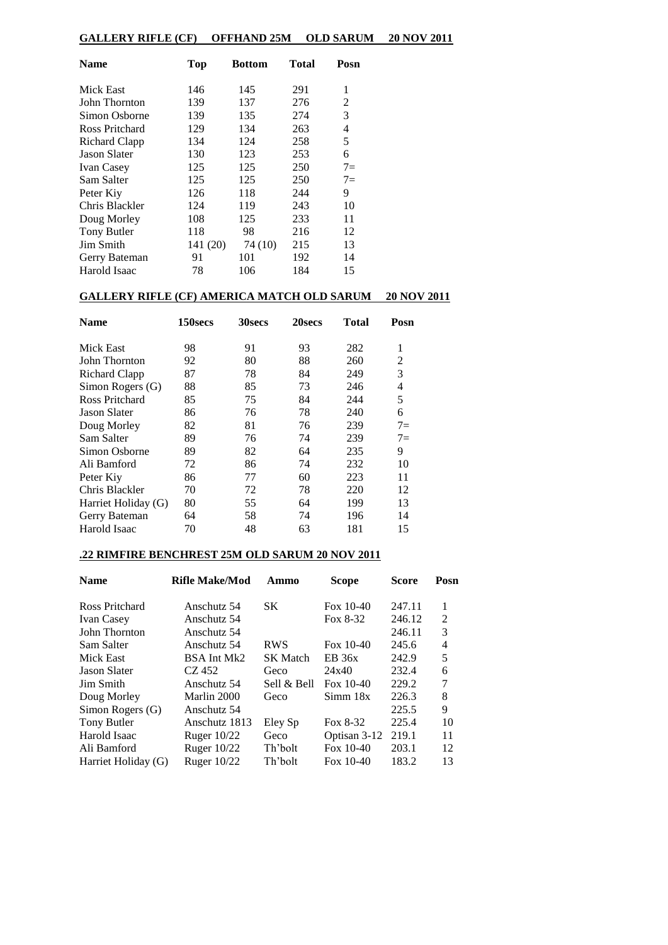# **GALLERY RIFLE (CF) OFFHAND 25M OLD SARUM 20 NOV 2011**

| <b>Name</b>         | <b>Top</b> | <b>Bottom</b> | Total | Posn |
|---------------------|------------|---------------|-------|------|
| Mick East           | 146        | 145           | 291   | 1    |
| John Thornton       | 139        | 137           | 276   | 2    |
| Simon Osborne       | 139        | 135           | 274   | 3    |
| Ross Pritchard      | 129        | 134           | 263   | 4    |
| Richard Clapp       | 134        | 124           | 258   | 5    |
| <b>Jason Slater</b> | 130        | 123           | 253   | 6    |
| <b>Ivan Casey</b>   | 125        | 125           | 250   | $7=$ |
| Sam Salter          | 125        | 125           | 250   | $7=$ |
| Peter Kiy           | 126        | 118           | 244   | 9    |
| Chris Blackler      | 124        | 119           | 243   | 10   |
| Doug Morley         | 108        | 125           | 233   | 11   |
| Tony Butler         | 118        | 98            | 216   | 12   |
| Jim Smith           | 141 (20)   | 74 (10)       | 215   | 13   |
| Gerry Bateman       | 91         | 101           | 192   | 14   |
| Harold Isaac        | 78         | 106           | 184   | 15   |

## **GALLERY RIFLE (CF) AMERICA MATCH OLD SARUM 20 NOV 2011**

| <b>Name</b>         | 150secs | <b>30secs</b> | 20secs | Total | Posn |
|---------------------|---------|---------------|--------|-------|------|
| Mick East           | 98      | 91            | 93     | 282   | 1    |
| John Thornton       | 92      | 80            | 88     | 260   | 2    |
| Richard Clapp       | 87      | 78            | 84     | 249   | 3    |
| Simon Rogers (G)    | 88      | 85            | 73     | 246   | 4    |
| Ross Pritchard      | 85      | 75            | 84     | 244   | 5    |
| Jason Slater        | 86      | 76            | 78     | 240   | 6    |
| Doug Morley         | 82      | 81            | 76     | 239   | $7=$ |
| Sam Salter          | 89      | 76            | 74     | 239   | $7=$ |
| Simon Osborne       | 89      | 82            | 64     | 235   | 9    |
| Ali Bamford         | 72      | 86            | 74     | 232   | 10   |
| Peter Kiy           | 86      | 77            | 60     | 223   | 11   |
| Chris Blackler      | 70      | 72            | 78     | 220   | 12   |
| Harriet Holiday (G) | 80      | 55            | 64     | 199   | 13   |
| Gerry Bateman       | 64      | 58            | 74     | 196   | 14   |
| Harold Isaac        | 70      | 48            | 63     | 181   | 15   |

# **.22 RIMFIRE BENCHREST 25M OLD SARUM 20 NOV 2011**

| <b>Name</b>         | <b>Rifle Make/Mod</b> | Ammo            | <b>Scope</b> | <b>Score</b> | Posn |
|---------------------|-----------------------|-----------------|--------------|--------------|------|
| Ross Pritchard      | Anschutz 54           | SK.             | Fox $10-40$  | 247.11       | 1    |
| <b>Ivan Casey</b>   | Anschutz 54           |                 | Fox 8-32     | 246.12       | 2    |
| John Thornton       | Anschutz 54           |                 |              | 246.11       | 3    |
| Sam Salter          | Anschutz 54           | <b>RWS</b>      | Fox $10-40$  | 245.6        | 4    |
| Mick East           | BSA Int Mk2           | <b>SK</b> Match | EB 36x       | 242.9        | 5    |
| Jason Slater        | CZ 452                | Geco            | 24x40        | 232.4        | 6    |
| Jim Smith           | Anschutz 54           | Sell & Bell     | Fox $10-40$  | 229.2        | 7    |
| Doug Morley         | Marlin 2000           | Geco            | Simm 18x     | 226.3        | 8    |
| Simon Rogers (G)    | Anschutz 54           |                 |              | 225.5        | 9    |
| Tony Butler         | Anschutz 1813         | Eley Sp         | Fox 8-32     | 225.4        | 10   |
| Harold Isaac        | Ruger $10/22$         | Geco            | Optisan 3-12 | 219.1        | 11   |
| Ali Bamford         | Ruger $10/22$         | Th'bolt         | Fox $10-40$  | 203.1        | 12   |
| Harriet Holiday (G) | Ruger 10/22           | Th'bolt         | Fox $10-40$  | 183.2        | 13   |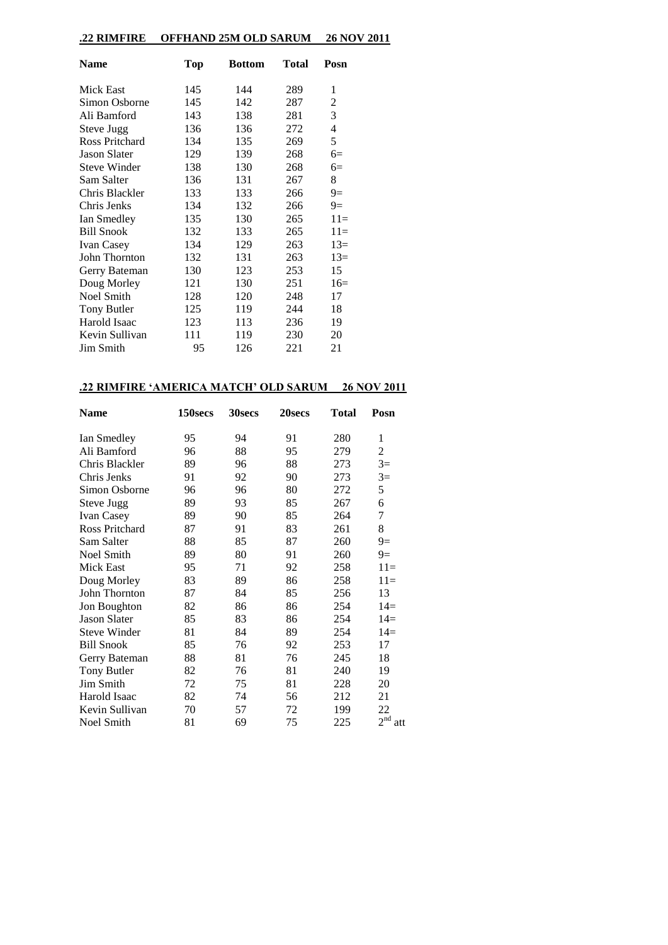# **.22 RIMFIRE OFFHAND 25M OLD SARUM 26 NOV 2011**

| <b>Name</b>           | <b>Top</b> | <b>Bottom</b> | Total | Posn  |
|-----------------------|------------|---------------|-------|-------|
| Mick East             | 145        | 144           | 289   | 1     |
| Simon Osborne         | 145        | 142           | 287   | 2     |
| Ali Bamford           | 143        | 138           | 281   | 3     |
| Steve Jugg            | 136        | 136           | 272   | 4     |
| <b>Ross Pritchard</b> | 134        | 135           | 269   | 5     |
| <b>Jason Slater</b>   | 129        | 139           | 268   | $6=$  |
| <b>Steve Winder</b>   | 138        | 130           | 268   | $6=$  |
| Sam Salter            | 136        | 131           | 267   | 8     |
| Chris Blackler        | 133        | 133           | 266   | $9=$  |
| Chris Jenks           | 134        | 132           | 266   | $9=$  |
| Ian Smedley           | 135        | 130           | 265   | $11=$ |
| <b>Bill Snook</b>     | 132        | 133           | 265   | $11=$ |
| <b>Ivan Casey</b>     | 134        | 129           | 263   | $13=$ |
| John Thornton         | 132        | 131           | 263   | $13=$ |
| Gerry Bateman         | 130        | 123           | 253   | 15    |
| Doug Morley           | 121        | 130           | 251   | $16=$ |
| <b>Noel Smith</b>     | 128        | 120           | 248   | 17    |
| <b>Tony Butler</b>    | 125        | 119           | 244   | 18    |
| Harold Isaac          | 123        | 113           | 236   | 19    |
| Kevin Sullivan        | 111        | 119           | 230   | 20    |
| Jim Smith             | 95         | 126           | 221   | 21    |

## **.22 RIMFIRE 'AMERICA MATCH' OLD SARUM 26 NOV 2011**

| Name                | 150secs | 30secs | 20secs | <b>Total</b> | Posn                   |
|---------------------|---------|--------|--------|--------------|------------------------|
| Ian Smedley         | 95      | 94     | 91     | 280          | 1                      |
| Ali Bamford         | 96      | 88     | 95     | 279          | 2                      |
| Chris Blackler      | 89      | 96     | 88     | 273          | $3=$                   |
| Chris Jenks         | 91      | 92     | 90     | 273          | $3=$                   |
| Simon Osborne       | 96      | 96     | 80     | 272          | 5                      |
| <b>Steve Jugg</b>   | 89      | 93     | 85     | 267          | 6                      |
| <b>Ivan Casey</b>   | 89      | 90     | 85     | 264          | 7                      |
| Ross Pritchard      | 87      | 91     | 83     | 261          | 8                      |
| Sam Salter          | 88      | 85     | 87     | 260          | $9=$                   |
| Noel Smith          | 89      | 80     | 91     | 260          | $9=$                   |
| Mick East           | 95      | 71     | 92     | 258          | $11=$                  |
| Doug Morley         | 83      | 89     | 86     | 258          | $11=$                  |
| John Thornton       | 87      | 84     | 85     | 256          | 13                     |
| Jon Boughton        | 82      | 86     | 86     | 254          | $14=$                  |
| <b>Jason Slater</b> | 85      | 83     | 86     | 254          | $14=$                  |
| <b>Steve Winder</b> | 81      | 84     | 89     | 254          | $14=$                  |
| <b>Bill Snook</b>   | 85      | 76     | 92     | 253          | 17                     |
| Gerry Bateman       | 88      | 81     | 76     | 245          | 18                     |
| Tony Butler         | 82      | 76     | 81     | 240          | 19                     |
| Jim Smith           | 72      | 75     | 81     | 228          | 20                     |
| Harold Isaac        | 82      | 74     | 56     | 212          | 21                     |
| Kevin Sullivan      | 70      | 57     | 72     | 199          | 22                     |
| Noel Smith          | 81      | 69     | 75     | 225          | 2 <sup>nd</sup><br>att |